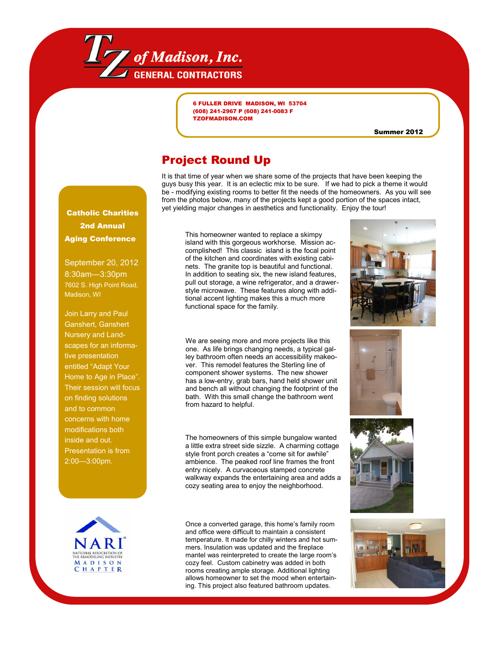

6 FULLER DRIVE MADISON, WI 53704 (608) 241-2967 P (608) 241-0083 F TZOFMADISON.COM

Summer 2012

## Project Round Up

It is that time of year when we share some of the projects that have been keeping the guys busy this year. It is an eclectic mix to be sure. If we had to pick a theme it would be - modifying existing rooms to better fit the needs of the homeowners. As you will see from the photos below, many of the projects kept a good portion of the spaces intact, **Catholic Charities** yet yielding major changes in aesthetics and functionality. Enjoy the tour!

2nd Annual Aging Conference

September 20, 2012 8:30am—3:30pm 7602 S. High Point Road, Madison, WI

Join Larry and Paul Ganshert, Ganshert Nursery and Landscapes for an informative presentation entitled "Adapt Your Home to Age in Place". Their session will focus on finding solutions and to common concerns with home modifications both inside and out. Presentation is from 2:00—3:00pm.



This homeowner wanted to replace a skimpy island with this gorgeous workhorse. Mission accomplished! This classic island is the focal point of the kitchen and coordinates with existing cabinets. The granite top is beautiful and functional. In addition to seating six, the new island features, pull out storage, a wine refrigerator, and a drawerstyle microwave. These features along with additional accent lighting makes this a much more functional space for the family.

We are seeing more and more projects like this one. As life brings changing needs, a typical galley bathroom often needs an accessibility makeover. This remodel features the Sterling line of component shower systems. The new shower has a low-entry, grab bars, hand held shower unit and bench all without changing the footprint of the bath. With this small change the bathroom went from hazard to helpful.

The homeowners of this simple bungalow wanted a little extra street side sizzle. A charming cottage style front porch creates a "come sit for awhile" ambience. The peaked roof line frames the front entry nicely. A curvaceous stamped concrete walkway expands the entertaining area and adds a cozy seating area to enjoy the neighborhood.

Once a converted garage, this home's family room and office were difficult to maintain a consistent temperature. It made for chilly winters and hot summers. Insulation was updated and the fireplace mantel was reinterpreted to create the large room's cozy feel. Custom cabinetry was added in both rooms creating ample storage. Additional lighting allows homeowner to set the mood when entertaining. This project also featured bathroom updates.